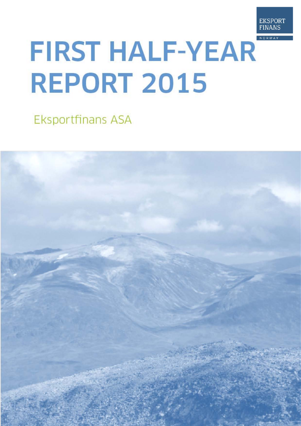

# **FIRST HALF-YEAR REPORT 2015**

Eksportfinans ASA

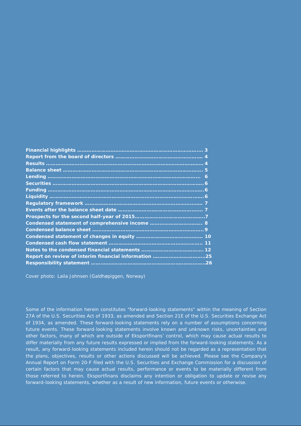| Report on review of interim financial information 25 |  |
|------------------------------------------------------|--|
|                                                      |  |

Cover photo: Laila Johnsen (Galdhøpiggen, Norway)

Some of the information herein constitutes "forward-looking statements" within the meaning of Section 27A of the U.S. Securities Act of 1933, as amended and Section 21E of the U.S. Securities Exchange Act of 1934, as amended. These forward-looking statements rely on a number of assumptions concerning future events. These forward-looking statements involve known and unknown risks, uncertainties and other factors, many of which are outside of Eksportfinans' control, which may cause actual results to differ materially from any future results expressed or implied from the forward-looking statements. As a result, any forward-looking statements included herein should not be regarded as a representation that the plans, objectives, results or other actions discussed will be achieved. Please see the Company's Annual Report on Form 20-F filed with the U.S. Securities and Exchange Commission for a discussion of certain factors that may cause actual results, performance or events to be materially different from those referred to herein. Eksportfinans disclaims any intention or obligation to update or revise any forward-looking statements, whether as a result of new information, future events or otherwise.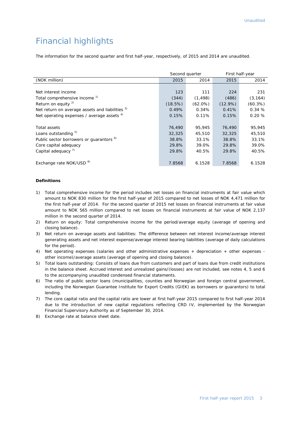# Financial highlights

The information for the second quarter and first half-year, respectively, of 2015 and 2014 are unaudited.

|                                                     | Second quarter |            | First half-year |            |  |
|-----------------------------------------------------|----------------|------------|-----------------|------------|--|
| (NOK million)                                       | 2015           | 2014       | 2015            | 2014       |  |
|                                                     |                |            |                 |            |  |
| Net interest income                                 | 123            | 111        | 224             | 231        |  |
| Total comprehensive income <sup>1)</sup>            | (344)          | (1, 498)   | (486)           | (3, 164)   |  |
| Return on equity $^{2)}$                            | (18.5%)        | $(62.0\%)$ | $(12.9\%)$      | $(60.3\%)$ |  |
| Net return on average assets and liabilities 3)     | 0.49%          | 0.34%      | 0.41%           | 0.34%      |  |
| Net operating expenses / average assets 4)          | 0.15%          | 0.11%      | 0.15%           | 0.20%      |  |
|                                                     |                |            |                 |            |  |
| Total assets                                        | 76,490         | 95,945     | 76,490          | 95,945     |  |
| Loans outstanding 5)                                | 32,325         | 45,510     | 32,325          | 45,510     |  |
| Public sector borrowers or guarantors <sup>6)</sup> | 38.8%          | 33.1%      | 38.8%           | 33.1%      |  |
| Core capital adequacy                               | 29.8%          | 39.0%      | 29.8%           | 39.0%      |  |
| Capital adequacy <sup>7)</sup>                      | 29.8%          | 40.5%      | 29.8%           | 40.5%      |  |
|                                                     |                |            |                 |            |  |
| Exchange rate NOK/USD <sup>8)</sup>                 | 7.8568         | 6.1528     | 7.8568          | 6.1528     |  |

#### **Definitions**

- 1) Total comprehensive income for the period includes net losses on financial instruments at fair value which amount to NOK 830 million for the first half-year of 2015 compared to net losses of NOK 4,471 million for the first half-year of 2014. For the second quarter of 2015 net losses on financial instruments at fair value amount to NOK 565 million compared to net losses on financial instruments at fair value of NOK 2,137 million in the second quarter of 2014.
- 2) Return on equity: Total comprehensive income for the period/average equity (average of opening and closing balance).
- 3) Net return on average assets and liabilities: The difference between net interest income/average interest generating assets and net interest expense/average interest bearing liabilities (average of daily calculations for the period).
- 4) Net operating expenses (salaries and other administrative expenses + depreciation + other expenses other income)/average assets (average of opening and closing balance).
- 5) Total loans outstanding: Consists of loans due from customers and part of loans due from credit institutions in the balance sheet. Accrued interest and unrealized gains/(losses) are not included, see notes 4, 5 and 6 to the accompanying unaudited condensed financial statements.
- 6) The ratio of public sector loans (municipalities, counties and Norwegian and foreign central government, including the Norwegian Guarantee Institute for Export Credits (GIEK) as borrowers or guarantors) to total lending.
- 7) The core capital ratio and the capital ratio are lower at first half-year 2015 compared to first half-year 2014 due to the introduction of new capital regulations reflecting CRD IV, implemented by the Norwegian Financial Supervisory Authority as of September 30, 2014.
- 8) Exchange rate at balance sheet date.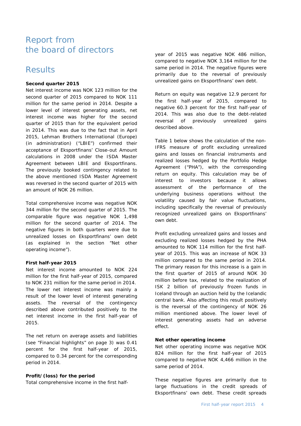## Report from the board of directors

## Results

#### **Second quarter 2015**

Net interest income was NOK 123 million for the second quarter of 2015 compared to NOK 111 million for the same period in 2014. Despite a lower level of interest generating assets, net interest income was higher for the second quarter of 2015 than for the equivalent period in 2014. This was due to the fact that in April 2015, Lehman Brothers International (Europe) (in administration) ("LBIE") confirmed their acceptance of Eksportfinans' Close-out Amount calculations in 2008 under the ISDA Master Agreement between LBIE and Eksportfinans. The previously booked contingency related to the above mentioned ISDA Master Agreement was reversed in the second quarter of 2015 with an amount of NOK 26 million.

Total comprehensive income was negative NOK 344 million for the second quarter of 2015. The comparable figure was negative NOK 1,498 million for the second quarter of 2014. The negative figures in both quarters were due to unrealized losses on Eksportfinans' own debt (as explained in the section "Net other operating income").

#### **First half-year 2015**

Net interest income amounted to NOK 224 million for the first half-year of 2015, compared to NOK 231 million for the same period in 2014. The lower net interest income was mainly a result of the lower level of interest generating assets. The reversal of the contingency described above contributed positively to the net interest income in the first half-year of 2015.

The net return on average assets and liabilities (see "Financial highlights" on page 3) was 0.41 percent for the first half-year of 2015, compared to 0.34 percent for the corresponding period in 2014.

#### **Profit/(loss) for the period**

Total comprehensive income in the first half-

year of 2015 was negative NOK 486 million, compared to negative NOK 3,164 million for the same period in 2014. The negative figures were primarily due to the reversal of previously unrealized gains on Eksportfinans' own debt.

Return on equity was negative 12.9 percent for the first half-year of 2015, compared to negative 60.3 percent for the first half-year of 2014. This was also due to the debt-related reversal of previously unrealized gains described above.

Table 1 below shows the calculation of the non-IFRS measure of profit excluding unrealized gains and losses on financial instruments and realized losses hedged by the Portfolio Hedge Agreement ("PHA"), with the corresponding return on equity. This calculation may be of interest to investors because it allows assessment of the performance of the underlying business operations without the volatility caused by fair value fluctuations, including specifically the reversal of previously recognized unrealized gains on Eksportfinans' own debt.

Profit excluding unrealized gains and losses and excluding realized losses hedged by the PHA amounted to NOK 114 million for the first halfyear of 2015. This was an increase of NOK 33 million compared to the same period in 2014. The primary reason for this increase is a gain in the first quarter of 2015 of around NOK 30 million before tax, related to the realization of ISK 2 billion of previously frozen funds in Iceland through an auction held by the Icelandic central bank. Also affecting this result positively is the reversal of the contingency of NOK 26 million mentioned above. The lower level of interest generating assets had an adverse effect.

#### **Net other operating income**

Net other operating income was negative NOK 824 million for the first half-year of 2015 compared to negative NOK 4,466 million in the same period of 2014.

These negative figures are primarily due to large fluctuations in the credit spreads of Eksportfinans' own debt. These credit spreads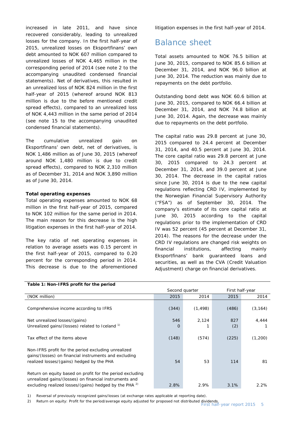increased in late 2011, and have since recovered considerably, leading to unrealized losses for the company. In the first half-year of 2015, unrealized losses on Eksportfinans' own debt amounted to NOK 607 million compared to unrealized losses of NOK 4,465 million in the corresponding period of 2014 (see note 2 to the accompanying unaudited condensed financial statements). Net of derivatives, this resulted in an unrealized loss of NOK 824 million in the first half-year of 2015 (whereof around NOK 813 million is due to the before mentioned credit spread effects), compared to an unrealized loss of NOK 4,443 million in the same period of 2014 (see note 15 to the accompanying unaudited condensed financial statements).

The cumulative unrealized gain on Eksportfinans' own debt, net of derivatives, is NOK 1,486 million as of June 30, 2015 (whereof around NOK 1,480 million is due to credit spread effects), compared to NOK 2,310 million as of December 31, 2014 and NOK 3,890 million as of June 30, 2014.

#### **Total operating expenses**

Total operating expenses amounted to NOK 68 million in the first half-year of 2015, compared to NOK 102 million for the same period in 2014. The main reason for this decrease is the high litigation expenses in the first half-year of 2014.

The key ratio of net operating expenses in relation to average assets was 0.15 percent in the first half-year of 2015, compared to 0.20 percent for the corresponding period in 2014. This decrease is due to the aforementioned litigation expenses in the first half-year of 2014.

## Balance sheet

Total assets amounted to NOK 76.5 billion at June 30, 2015, compared to NOK 85.6 billion at December 31, 2014, and NOK 96.0 billion at June 30, 2014. The reduction was mainly due to repayments on the debt portfolio.

Outstanding bond debt was NOK 60.6 billion at June 30, 2015, compared to NOK 66.4 billion at December 31, 2014, and NOK 74.8 billion at June 30, 2014. Again, the decrease was mainly due to repayments on the debt portfolio.

The capital ratio was 29.8 percent at June 30, 2015 compared to 24.4 percent at December 31, 2014, and 40.5 percent at June 30, 2014. The core capital ratio was 29.8 percent at June 30, 2015 compared to 24.3 percent at December 31, 2014, and 39.0 percent at June 30, 2014. The decrease in the capital ratios since June 30, 2014 is due to the new capital regulations reflecting CRD IV, implemented by the Norwegian Financial Supervisory Authority ("FSA") as of September 30, 2014. The company's estimate of its core capital ratio at June 30, 2015 according to the capital regulations prior to the implementation of CRD IV was 52 percent (45 percent at December 31, 2014). The reasons for the decrease under the CRD IV regulations are changed risk weights on financial institutions, affecting mainly Eksportfinans' bank guaranteed loans and securities, as well as the CVA (Credit Valuation Adjustment) charge on financial derivatives.

| Table 1: NON-TERS PROTIETOR THE DEFICIE                                                                                                                                                  |          |                |       |                 |
|------------------------------------------------------------------------------------------------------------------------------------------------------------------------------------------|----------|----------------|-------|-----------------|
|                                                                                                                                                                                          |          | Second quarter |       | First half-year |
| (NOK million)                                                                                                                                                                            | 2015     | 2014           | 2015  | 2014            |
| Comprehensive income according to IFRS                                                                                                                                                   | (344)    | (1, 498)       | (486) | (3, 164)        |
| Net unrealized losses/(gains)                                                                                                                                                            | 546      | 2,124          | 827   | 4,444           |
| Unrealized gains/(losses) related to Iceland 1)                                                                                                                                          | $\Omega$ |                | (2)   |                 |
| Tax effect of the items above                                                                                                                                                            | (148)    | (574)          | (225) | (1,200)         |
| Non-IFRS profit for the period excluding unrealized<br>gains/(losses) on financial instruments and excluding<br>realized losses/(gains) hedged by the PHA                                | 54       | 53             | 114   | 81              |
| Return on equity based on profit for the period excluding<br>unrealized gains/(losses) on financial instruments and<br>excluding realized losses/(gains) hedged by the PHA <sup>2)</sup> | 2.8%     | 2.9%           | 3.1%  | 2.2%            |

#### **Table 1: Non-IFRS profit for the period**

1) Reversal of previously recognized gains/losses (at exchange rates applicable at reporting date).

2) Return on equity: Profit for the period/average equity adjusted for proposed not distributed dividends.<br>First half-year report 2015 5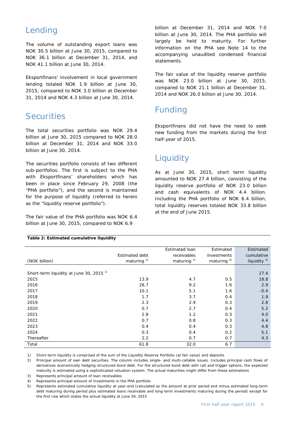# Lending

The volume of outstanding export loans was NOK 30.5 billion at June 30, 2015, compared to NOK 36.1 billion at December 31, 2014, and NOK 41.1 billion at June 30, 2014.

Eksportfinans' involvement in local government lending totaled NOK 1.9 billion at June 30, 2015, compared to NOK 3.0 billion at December 31, 2014 and NOK 4.3 billion at June 30, 2014.

## **Securities**

The total securities portfolio was NOK 29.4 billion at June 30, 2015 compared to NOK 28.0 billion at December 31, 2014 and NOK 33.0 billion at June 30, 2014.

The securities portfolio consists of two different sub-portfolios. The first is subject to the PHA with Eksportfinans' shareholders which has been in place since February 29, 2008 (the "PHA portfolio"), and the second is maintained for the purpose of liquidity (referred to herein as the "liquidity reserve portfolio").

The fair value of the PHA portfolio was NOK 6.4 billion at June 30, 2015, compared to NOK 6.9

billion at December 31, 2014 and NOK 7.0 billion at June 30, 2014. The PHA portfolio will largely be held to maturity. For further information on the PHA see Note 14 to the accompanying unaudited condensed financial statements.

The fair value of the liquidity reserve portfolio was NOK 23.0 billion at June 30, 2015, compared to NOK 21.1 billion at December 31, 2014 and NOK 26.0 billion at June 30, 2014.

# Funding

Eksportfinans did not have the need to seek new funding from the markets during the first half-year of 2015.

# **Liquidity**

As at June 30, 2015, short term liquidity amounted to NOK 27.4 billion, consisting of the liquidity reserve portfolio of NOK 23.0 billion and cash equivalents of NOK 4.4 billion. Including the PHA portfolio of NOK 6.4 billion, total liquidity reserves totaled NOK 33.8 billion at the end of June 2015.

|                                                    |                       | Estimated loan         | Estimated      | Estimated               |
|----------------------------------------------------|-----------------------|------------------------|----------------|-------------------------|
|                                                    | <b>Estimated debt</b> | receivables            | investments    | cumulative              |
| (NOK billion)                                      | maturing $^{2)}$      | maturing <sup>3)</sup> | maturing $4$ ) | liquidity <sup>5)</sup> |
|                                                    |                       |                        |                |                         |
| Short-term liquidity at June 30, 2015 <sup>1</sup> |                       |                        |                | 27.4                    |
| 2015                                               | 13.9                  | 4.7                    | 0.5            | 18.8                    |
| 2016                                               | 26.7                  | 9.2                    | 1.6            | 2.9                     |
| 2017                                               | 10.1                  | 5.1                    | 1.6            | $-0.4$                  |
| 2018                                               | 1.7                   | 3.7                    | 0.4            | 1.9                     |
| 2019                                               | 2.3                   | 2.9                    | 0.3            | 2.8                     |
| 2020                                               | 0.7                   | 2.7                    | 0.4            | 5.2                     |
| 2021                                               | 2.8                   | 1.2                    | 0.3            | 4.0                     |
| 2022                                               | 0.7                   | 0.8                    | 0.3            | 4.4                     |
| 2023                                               | 0.4                   | 0.4                    | 0.3            | 4.8                     |
| 2024                                               | 0.3                   | 0.4                    | 0.2            | 5.1                     |
| Thereafter                                         | 2.2                   | 0.7                    | 0.7            | 4.3                     |
| Total                                              | 61.8                  | 32.0                   | 6.7            |                         |

#### **Table 2: Estimated cumulative liquidity**

1) Short-term liquidity is comprised of the sum of the Liquidity Reserve Portfolio (at fair value) and deposits

2) Principal amount of own debt securities. The column includes single- and multi-callable issues. Includes principal cash flows of derivatives economically hedging structured bond debt. For the structured bond debt with call and trigger options, the expected maturity is estimated using a sophisticated valuation system. The actual maturities might differ from these estimations

3) Represents principal amount of loan receivables

4) Represents principal amount of investments in the PHA portfolio

5) Represents estimated cumulative liquidity at year-end (calculated as the amount at prior period end minus estimated long-term debt maturing during period plus estimated loans receivable and long-term investments maturing during the period) except for the first row which states the actual liquidity at June 30, 2015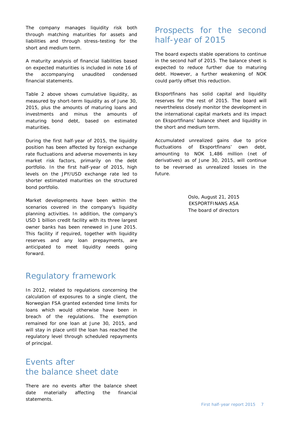The company manages liquidity risk both through matching maturities for assets and liabilities and through stress-testing for the short and medium term.

A maturity analysis of financial liabilities based on expected maturities is included in note 16 of the accompanying unaudited condensed financial statements.

Table 2 above shows cumulative liquidity, as measured by short-term liquidity as of June 30, 2015, plus the amounts of maturing loans and investments and minus the amounts of maturing bond debt, based on estimated maturities.

During the first half-year of 2015, the liquidity position has been affected by foreign exchange rate fluctuations and adverse movements in key market risk factors, primarily on the debt portfolio. In the first half-year of 2015, high levels on the JPY/USD exchange rate led to shorter estimated maturities on the structured bond portfolio.

Market developments have been within the scenarios covered in the company's liquidity planning activities. In addition, the company's USD 1 billion credit facility with its three largest owner banks has been renewed in June 2015. This facility if required, together with liquidity reserves and any loan prepayments, are anticipated to meet liquidity needs going forward.

## Regulatory framework

In 2012, related to regulations concerning the calculation of exposures to a single client, the Norwegian FSA granted extended time limits for loans which would otherwise have been in breach of the regulations. The exemption remained for one loan at June 30, 2015, and will stay in place until the loan has reached the regulatory level through scheduled repayments of principal.

# Events after the balance sheet date

There are no events after the balance sheet date materially affecting the financial statements.

# Prospects for the second half-year of 2015

The board expects stable operations to continue in the second half of 2015. The balance sheet is expected to reduce further due to maturing debt. However, a further weakening of NOK could partly offset this reduction.

Eksportfinans has solid capital and liquidity reserves for the rest of 2015. The board will nevertheless closely monitor the development in the international capital markets and its impact on Eksportfinans' balance sheet and liquidity in the short and medium term.

Accumulated unrealized gains due to price fluctuations of Eksportfinans' own debt, amounting to NOK 1,486 million (net of derivatives) as of June 30, 2015, will continue to be reversed as unrealized losses in the future.

> Oslo, August 21, 2015 EKSPORTFINANS ASA The board of directors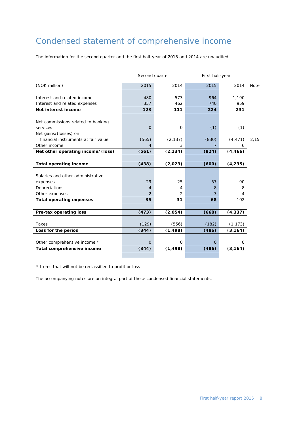# Condensed statement of comprehensive income

The information for the second quarter and the first half-year of 2015 and 2014 are unaudited.

|                                     | Second quarter |          | First half-year |          |             |  |
|-------------------------------------|----------------|----------|-----------------|----------|-------------|--|
| (NOK million)                       | 2015           | 2014     | 2015            | 2014     | <b>Note</b> |  |
|                                     |                |          |                 |          |             |  |
| Interest and related income         | 480            | 573      | 964             | 1,190    |             |  |
| Interest and related expenses       | 357            | 462      | 740             | 959      |             |  |
| Net interest income                 | 123            | 111      | 224             | 231      |             |  |
|                                     |                |          |                 |          |             |  |
| Net commissions related to banking  |                |          |                 |          |             |  |
| services                            | $\overline{O}$ | 0        | (1)             | (1)      |             |  |
| Net gains/(losses) on               |                |          |                 |          |             |  |
| financial instruments at fair value | (565)          | (2, 137) | (830)           | (4, 471) | 2,15        |  |
| Other income                        | $\overline{4}$ | 3        | 7               | 6        |             |  |
| Net other operating income/(loss)   | (561)          | (2, 134) | (824)           | (4, 466) |             |  |
|                                     |                |          |                 |          |             |  |
| <b>Total operating income</b>       | (438)          | (2,023)  | (600)           | (4, 235) |             |  |
|                                     |                |          |                 |          |             |  |
| Salaries and other administrative   |                |          |                 |          |             |  |
| expenses                            | 29             | 25       | 57              | 90       |             |  |
| Depreciations                       | 4              | 4        | 8               | 8        |             |  |
| Other expenses                      | 2              | 2        | 3               | 4        |             |  |
| <b>Total operating expenses</b>     | 35             | 31       | 68              | 102      |             |  |
|                                     |                |          |                 |          |             |  |
| Pre-tax operating loss              | (473)          | (2,054)  | (668)           | (4, 337) |             |  |
|                                     |                |          |                 |          |             |  |
| Taxes                               | (129)          | (556)    | (182)           | (1, 173) |             |  |
| Loss for the period                 | (344)          | (1, 498) | (486)           | (3, 164) |             |  |
|                                     |                |          |                 |          |             |  |
| Other comprehensive income *        | $\Omega$       | $\Omega$ | $\overline{O}$  | 0        |             |  |
| Total comprehensive income          | (344)          | (1, 498) | (486)           | (3, 164) |             |  |
|                                     |                |          |                 |          |             |  |

\* Items that will not be reclassified to profit or loss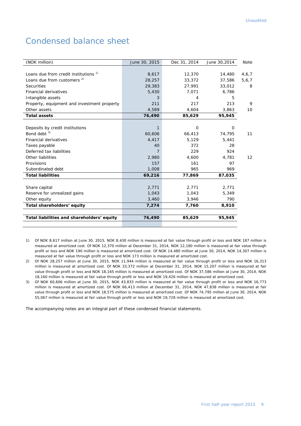# Condensed balance sheet

| (NOK million)                               | June 30, 2015 | Dec 31, 2014 | June 30,2014 | Note  |
|---------------------------------------------|---------------|--------------|--------------|-------|
|                                             |               |              |              |       |
| Loans due from credit institutions 1)       | 8,617         | 12,370       | 14,480       | 4,6,7 |
| Loans due from customers <sup>2)</sup>      | 28,257        | 33,372       | 37,586       | 5,6,7 |
| <b>Securities</b>                           | 29,383        | 27,991       | 33,012       | 8     |
| <b>Financial derivatives</b>                | 5,430         | 7,071        | 6,786        |       |
| Intangible assets                           | 3             | 4            | 5            |       |
| Property, equipment and investment property | 211           | 217          | 213          | 9     |
| Other assets                                | 4,589         | 4,604        | 3,863        | 10    |
| <b>Total assets</b>                         | 76,490        | 85,629       | 95,945       |       |
|                                             |               |              |              |       |
| Deposits by credit institutions             | $\mathbf{1}$  | $\circ$      | $\mathbf 0$  |       |
| Bond debt <sup>3)</sup>                     | 60,606        | 66,413       | 74,795       | 11    |
| <b>Financial derivatives</b>                | 4,417         | 5,129        | 5,441        |       |
| Taxes payable                               | 40            | 372          | 28           |       |
| Deferred tax liabilities                    |               | 229          | 924          |       |
| Other liabilities                           | 2,980         | 4,600        | 4,781        | 12    |
| Provisions                                  | 157           | 161          | 97           |       |
| Subordinated debt                           | 1,008         | 965          | 969          |       |
| <b>Total liabilities</b>                    | 69,216        | 77,869       | 87,035       |       |
|                                             |               |              |              |       |
| Share capital                               | 2,771         | 2,771        | 2,771        |       |
| Reserve for unrealized gains                | 1,043         | 1,043        | 5,349        |       |
| Other equity                                | 3,460         | 3,946        | 790          |       |
| Total shareholders' equity                  | 7,274         | 7,760        | 8,910        |       |
|                                             |               |              |              |       |
| Total liabilities and shareholders' equity  | 76,490        | 85,629       | 95,945       |       |
|                                             |               |              |              |       |

1) Of NOK 8,617 million at June 30, 2015, NOK 8,430 million is measured at fair value through profit or loss and NOK 187 million is measured at amortized cost. Of NOK 12,370 million at December 31, 2014, NOK 12,180 million is measured at fair value through profit or loss and NOK 190 million is measured at amortized cost. Of NOK 14,480 million at June 30, 2014, NOK 14,307 million is measured at fair value through profit or loss and NOK 173 million is measured at amortized cost.

- 2) Of NOK 28,257 million at June 30, 2015, NOK 11,944 million is measured at fair value through profit or loss and NOK 16,313 million is measured at amortized cost. Of NOK 33,372 million at December 31, 2014, NOK 15,207 million is measured at fair value through profit or loss and NOK 18,165 million is measured at amortized cost. Of NOK 37,586 million at June 30, 2014, NOK 18,160 million is measured at fair value through profit or loss and NOK 19,426 million is measured at amortized cost.
- 3) Of NOK 60,606 million at June 30, 2015, NOK 43,833 million is measured at fair value through profit or loss and NOK 16,773 million is measured at amortized cost. Of NOK 66,413 million at December 31, 2014, NOK 47,838 million is measured at fair value through profit or loss and NOK 18,575 million is measured at amortized cost. Of NOK 74,795 million at June 30, 2014, NOK 55,067 million is measured at fair value through profit or loss and NOK 19,728 million is measured at amortized cost.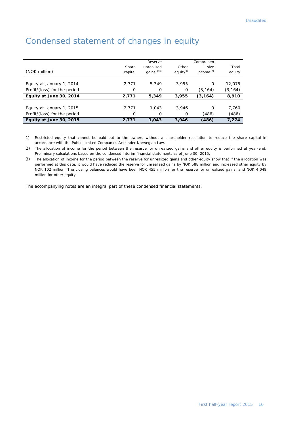| (NOK million)                | Share<br>capital | Reserve<br>unrealized<br>gains <sup>1)3)</sup> | Other<br>equity <sup>3)</sup> | Comprehen<br>sive<br>income $2$ | Total<br>equity |
|------------------------------|------------------|------------------------------------------------|-------------------------------|---------------------------------|-----------------|
| Equity at January 1, 2014    | 2,771            | 5,349                                          | 3.955                         | $\Omega$                        | 12,075          |
| Profit/(loss) for the period | 0                | 0                                              | 0                             | (3, 164)                        | (3, 164)        |
| Equity at June 30, 2014      | 2,771            | 5,349                                          | 3,955                         | (3, 164)                        | 8,910           |
|                              |                  |                                                |                               |                                 |                 |
| Equity at January 1, 2015    | 2,771            | 1.043                                          | 3.946                         | $\Omega$                        | 7,760           |
| Profit/(loss) for the period | O                | $\Omega$                                       | 0                             | (486)                           | (486)           |
| Equity at June 30, 2015      | 2,771            | 1.043                                          | 3,946                         | (486)                           | 7,274           |

# Condensed statement of changes in equity

1) Restricted equity that cannot be paid out to the owners without a shareholder resolution to reduce the share capital in accordance with the Public Limited Companies Act under Norwegian Law.

2) The allocation of income for the period between the reserve for unrealized gains and other equity is performed at year-end. Preliminary calculations based on the condensed interim financial statements as of June 30, 2015.

3) The allocation of income for the period between the reserve for unrealized gains and other equity show that if the allocation was performed at this date, it would have reduced the reserve for unrealized gains by NOK 588 million and increased other equity by NOK 102 million. The closing balances would have been NOK 455 million for the reserve for unrealized gains, and NOK 4,048 million for other equity.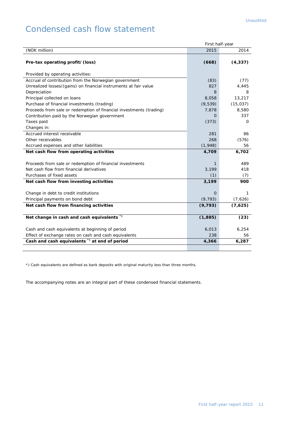# Condensed cash flow statement

|                                                                     | First half-year |           |
|---------------------------------------------------------------------|-----------------|-----------|
| (NOK million)                                                       | 2015            | 2014      |
|                                                                     |                 |           |
| Pre-tax operating profit/(loss)                                     | (668)           | (4, 337)  |
|                                                                     |                 |           |
| Provided by operating activities:                                   |                 |           |
| Accrual of contribution from the Norwegian government               | (83)            | (77)      |
| Unrealized losses/(gains) on financial instruments at fair value    | 827             | 4,445     |
| Depreciation                                                        | 8               | 8         |
| Principal collected on loans                                        | 8,058           | 13,217    |
| Purchase of financial investments (trading)                         | (9,539)         | (15, 037) |
| Proceeds from sale or redemption of financial investments (trading) | 7,878           | 8,580     |
| Contribution paid by the Norwegian government                       | O               | 337       |
| Taxes paid                                                          | (373)           | 0         |
| Changes in:                                                         |                 |           |
| Accrued interest receivable                                         | 281             | 86        |
| Other receivables                                                   | 268             | (576)     |
| Accrued expenses and other liabilities                              | (1,948)         | 56        |
| Net cash flow from operating activities                             | 4,709           | 6,702     |
|                                                                     |                 |           |
| Proceeds from sale or redemption of financial investments           | 1               | 489       |
| Net cash flow from financial derivatives                            | 3,199           | 418       |
| Purchases of fixed assets                                           | (1)             | (7)       |
| Net cash flow from investing activities                             | 3,199           | 900       |
|                                                                     |                 |           |
| Change in debt to credit institutions                               | $\Omega$        | 1         |
| Principal payments on bond debt                                     | (9, 793)        | (7,626)   |
| Net cash flow from financing activities                             | (9, 793)        | (7,625)   |
|                                                                     |                 |           |
| Net change in cash and cash equivalents *)                          | (1, 885)        | (23)      |
|                                                                     |                 |           |
| Cash and cash equivalents at beginning of period                    | 6,013           | 6,254     |
| Effect of exchange rates on cash and cash equivalents               | 238             | 56        |
| Cash and cash equivalents <sup>*</sup> ) at end of period           | 4,366           | 6,287     |
|                                                                     |                 |           |

\*) Cash equivalents are defined as bank deposits with original maturity less than three months.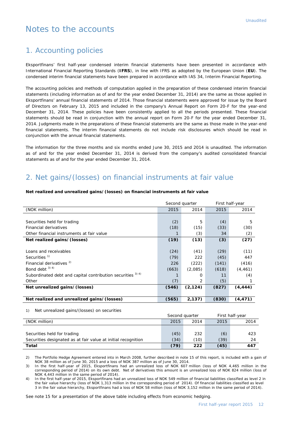## Notes to the accounts

## 1. Accounting policies

Eksportfinans' first half-year condensed interim financial statements have been presented in accordance with International Financial Reporting Standards (**IFRS**), in line with IFRS as adopted by the European Union (**EU**). The condensed interim financial statements have been prepared in accordance with IAS 34, Interim Financial Reporting.

The accounting policies and methods of computation applied in the preparation of these condensed interim financial statements (including information as of and for the year ended December 31, 2014) are the same as those applied in Eksportfinans' annual financial statements of 2014. Those financial statements were approved for issue by the Board of Directors on February 13, 2015 and included in the company's Annual Report on Form 20-F for the year-end December 31, 2014. These policies have been consistently applied to all the periods presented. These financial statements should be read in conjunction with the annual report on Form 20-F for the year ended December 31, 2014. Judgments made in the preparations of these financial statements are the same as those made in the year-end financial statements. The interim financial statements do not include risk disclosures which should be read in conjunction with the annual financial statements.

The information for the three months and six months ended June 30, 2015 and 2014 is unaudited. The information as of and for the year ended December 31, 2014 is derived from the company's audited consolidated financial statements as of and for the year ended December 31, 2014.

## 2. Net gains/(losses) on financial instruments at fair value

## **Net realized and unrealized gains/(losses) on financial instruments at fair value**

|       | Second quarter |       | First half-year |
|-------|----------------|-------|-----------------|
| 2015  | 2014           | 2015  | 2014            |
|       |                |       |                 |
| (2)   | 5              | (4)   | 5               |
| (18)  | (15)           | (33)  | (30)            |
|       | (3)            | 34    | (2)             |
| (19)  | (13)           | (3)   | (27)            |
|       |                |       |                 |
| (24)  | (41)           | (29)  | (11)            |
| (79)  | 222            | (45)  | 447             |
| 226   | (222)          | (141) | (416)           |
| (663) | (2,085)        | (618) | (4, 461)        |
|       | Ο              | 11    | (4)             |
| (7)   | 2              | (5)   |                 |
| (546) | (2, 124)       | (827) | (4, 444)        |
|       |                |       |                 |
| (565) | 2,137)         | (830) | (4, 471)        |
|       |                |       |                 |

1) Net unrealized gains/(losses) on securities

|                                                               | Second quarter |      |      | First half-year |
|---------------------------------------------------------------|----------------|------|------|-----------------|
| (NOK million)                                                 | 2015           | 2014 | 2015 | 2014            |
|                                                               |                |      |      |                 |
| Securities held for trading                                   | (45)           | 232  | (6)  | 423             |
| Securities designated as at fair value at initial recognition | (34)           | (10) | (39) | 24              |
| Total                                                         | (79)           | 222  | (45) | 447             |

2) The Portfolio Hedge Agreement entered into in March 2008, further described in note 15 of this report, is included with a gain of NOK 38 million as of June 30, 2015 and a loss of NOK 387 million as of June 30, 2014.

3) In the first half-year of 2015, Eksportfinans had an unrealized loss of NOK 607 million (loss of NOK 4,465 million in the corresponding period of 2014) on its own debt. Net of derivatives this amount is an unrealized loss of NOK 824 million (loss of NOK 4,443 million in the same period of 2014).

4) In the first half-year of 2015, Eksportfinans had an unrealized loss of NOK 549 million of financial liabilities classified as level 2 in the fair value hierarchy (loss of NOK 1,313 million in the corresponding period of 2014). Of financial liabilities classified as level 3 in the fair value hierarchy, Eksportfinans had a loss of NOK 58 million (loss of NOK 3,152 million in the same period of 2014).

See note 15 for a presentation of the above table including effects from economic hedging.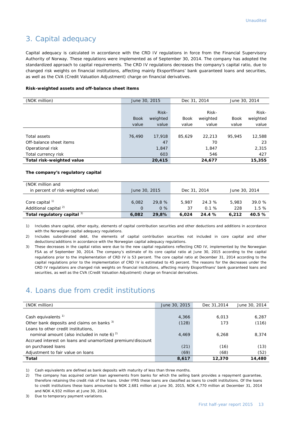## 3. Capital adequacy

Capital adequacy is calculated in accordance with the CRD IV regulations in force from the Financial Supervisory Authority of Norway. These regulations were implemented as of September 30, 2014. The company has adopted the standardized approach to capital requirements. The CRD IV regulations decreases the company's capital ratio, due to changed risk weights on financial institutions, affecting mainly Eksportfinans' bank guaranteed loans and securities, as well as the CVA (Credit Valuation Adjustment) charge on financial derivatives.

#### **Risk-weighted assets and off-balance sheet items**

| (NOK million)             | June 30, 2015 |          | Dec 31, 2014 |          | June 30, 2014 |          |
|---------------------------|---------------|----------|--------------|----------|---------------|----------|
|                           |               |          |              |          |               |          |
|                           |               | Risk-    |              | Risk-    |               | Risk-    |
|                           | <b>Book</b>   | weighted | <b>Book</b>  | weighted | <b>Book</b>   | weighted |
|                           | value         | value    | value        | value    | value         | value    |
|                           |               |          |              |          |               |          |
| Total assets              | 76,490        | 17,918   | 85,629       | 22,213   | 95,945        | 12,588   |
| Off-balance sheet items   |               | 47       |              | 70       |               | 23       |
| Operational risk          |               | 1,847    |              | 1,847    |               | 2,315    |
| Total currency risk       |               | 603      |              | 546      |               | 427      |
| Total risk-weighted value |               | 20,415   |              | 24,677   |               | 15,355   |

#### **The company's regulatory capital**

| (NOK million and<br>in percent of risk-weighted value)         | June 30, 2015     |                 | Dec 31, 2014 |                | June 30, 2014 |                |
|----------------------------------------------------------------|-------------------|-----------------|--------------|----------------|---------------|----------------|
| Core capital <sup>1)</sup><br>Additional capital <sup>2)</sup> | 6.082<br>$\Omega$ | 29.8 %<br>$0\%$ | 5.987<br>37  | 24.3 %<br>0.1% | 5.983<br>228  | 39.0 %<br>1.5% |
| Total regulatory capital 3)                                    | 6,082             | 29.8%           | 6.024        | 24.4 %         | 6.212         | 40.5 %         |

1) Includes share capital, other equity, elements of capital contribution securities and other deductions and additions in accordance with the Norwegian capital adequacy regulations.

2) Includes subordinated debt, the elements of capital contribution securities not included in core capital and other deductions/additions in accordance with the Norwegian capital adequacy regulations.

3) These decreases in the capital ratios were due to the new capital regulations reflecting CRD IV, implemented by the Norwegian FSA as of September 30, 2014. The company's estimate of its core capital ratio at June 30, 2015 according to the capital regulations prior to the implementation of CRD IV is 53 percent. The core capital ratio at December 31, 2014 according to the capital regulations prior to the implementation of CRD IV is estimated to 45 percent. The reasons for the decreases under the CRD IV regulations are changed risk weights on financial institutions, affecting mainly Eksportfinans' bank guaranteed loans and securities, as well as the CVA (Credit Valuation Adjustment) charge on financial derivatives.

## 4. Loans due from credit institutions

| (NOK million)                                              | June 30, 2015 | Dec 31,2014 | June 30, 2014 |
|------------------------------------------------------------|---------------|-------------|---------------|
|                                                            |               |             |               |
| Cash equivalents $1$                                       | 4,366         | 6,013       | 6,287         |
| Other bank deposits and claims on banks <sup>3)</sup>      | (128)         | 173         | (116)         |
| Loans to other credit institutions,                        |               |             |               |
| nominal amount (also included in note 6) $2^{\circ}$       | 4,469         | 6.268       | 8,374         |
| Accrued interest on loans and unamortized premium/discount |               |             |               |
| on purchased loans                                         | (21)          | (16)        | (13)          |
| Adjustment to fair value on loans                          | (69)          | (68)        | (52)          |
| Total                                                      | 8,617         | 12,370      | 14,480        |

1) Cash equivalents are defined as bank deposits with maturity of less than three months.

2) The company has acquired certain loan agreements from banks for which the selling bank provides a repayment guarantee, therefore retaining the credit risk of the loans. Under IFRS these loans are classified as loans to credit institutions. Of the loans to credit institutions these loans amounted to NOK 2,681 million at June 30, 2015, NOK 4,770 million at December 31, 2014 and NOK 4,932 million at June 30, 2014.

3) Due to temporary payment variations.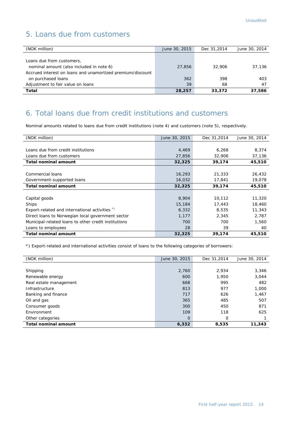## 5. Loans due from customers

| (NOK million)                                              | June 30, 2015 | Dec 31,2014 | June 30, 2014 |
|------------------------------------------------------------|---------------|-------------|---------------|
|                                                            |               |             |               |
| Loans due from customers,                                  |               |             |               |
| nominal amount (also included in note 6)                   | 27,856        | 32,906      | 37,136        |
| Accrued interest on loans and unamortized premium/discount |               |             |               |
| on purchased loans                                         | 362           | 398         | 403           |
| Adjustment to fair value on loans                          | 39            | 68          | 47            |
| <b>Total</b>                                               | 28,257        | 33,372      | 37,586        |

## 6. Total loans due from credit institutions and customers

Nominal amounts related to loans due from credit institutions (note 4) and customers (note 5), respectively.

| (NOK million)                                        | June 30, 2015 | Dec 31,2014 | June 30, 2014 |
|------------------------------------------------------|---------------|-------------|---------------|
|                                                      |               |             |               |
| Loans due from credit institutions                   | 4,469         | 6,268       | 8,374         |
| Loans due from customers                             | 27,856        | 32,906      | 37,136        |
| <b>Total nominal amount</b>                          | 32,325        | 39,174      | 45,510        |
|                                                      |               |             |               |
| Commercial loans                                     | 16,293        | 21,333      | 26,432        |
| Government-supported loans                           | 16,032        | 17,841      | 19,078        |
| <b>Total nominal amount</b>                          | 32,325        | 39,174      | 45,510        |
|                                                      |               |             |               |
| Capital goods                                        | 8,904         | 10,112      | 11,320        |
| Ships                                                | 15,184        | 17,443      | 18,460        |
| Export-related and international activities *)       | 6,332         | 8,535       | 11,343        |
| Direct loans to Norwegian local government sector    | 1,177         | 2,345       | 2,787         |
| Municipal-related loans to other credit institutions | 700           | 700         | 1,560         |
| Loans to employees                                   | 28            | 39          | 40            |
| <b>Total nominal amount</b>                          | 32,325        | 39,174      | 45,510        |

\*) Export-related and international activities consist of loans to the following categories of borrowers:

| (NOK million)               | June 30, 2015 | Dec 31,2014 | June 30, 2014 |
|-----------------------------|---------------|-------------|---------------|
|                             |               |             |               |
| Shipping                    | 2,760         | 2.934       | 3,346         |
| Renewable energy            | 600           | 1,950       | 3,044         |
| Real estate management      | 668           | 995         | 482           |
| Infrastructure              | 813           | 977         | 1,000         |
| Banking and finance         | 717           | 626         | 1,467         |
| Oil and gas                 | 365           | 485         | 507           |
| Consumer goods              | 300           | 450         | 871           |
| Environment                 | 109           | 118         | 625           |
| Other categories            | $\Omega$      | 0           |               |
| <b>Total nominal amount</b> | 6,332         | 8,535       | 11,343        |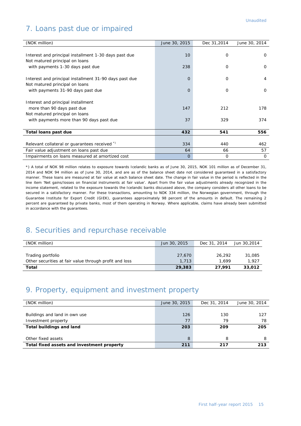## 7. Loans past due or impaired

| (NOK million)                                          | June 30, 2015   | Dec 31,2014 | June 30, 2014 |
|--------------------------------------------------------|-----------------|-------------|---------------|
|                                                        |                 |             |               |
| Interest and principal installment 1-30 days past due  | 10 <sup>°</sup> | 0           | $\Omega$      |
| Not matured principal on loans                         |                 |             |               |
| with payments 1-30 days past due                       | 238             | $\Omega$    | $\Omega$      |
|                                                        |                 |             |               |
| Interest and principal installment 31-90 days past due | O               | $\Omega$    | 4             |
| Not matured principal on loans                         |                 |             |               |
| with payments 31-90 days past due                      | O               | 0           | $\mathbf 0$   |
|                                                        |                 |             |               |
| Interest and principal installment                     |                 |             |               |
| more than 90 days past due                             | 147             | 212         | 178           |
| Not matured principal on loans                         |                 |             |               |
| with payments more than 90 days past due               | 37              | 329         | 374           |
|                                                        |                 |             |               |
| Total loans past due                                   | 432             | 541         | 556           |
|                                                        |                 |             |               |
| Relevant collateral or guarantees received *)          | 334             | 440         | 462           |
| Fair value adjustment on loans past due                | 64              | 66          | 57            |
| Impairments on loans measured at amortized cost        | 0               | 0           | 0             |

\*) A total of NOK 98 million relates to exposure towards Icelandic banks as of June 30, 2015, NOK 101 million as of December 31, 2014 and NOK 94 million as of June 30, 2014, and are as of the balance sheet date not considered guaranteed in a satisfactory manner. These loans are measured at fair value at each balance sheet date. The change in fair value in the period is reflected in the line item 'Net gains/losses on financial instruments at fair value'. Apart from the fair value adjustments already recognized in the income statement, related to the exposure towards the Icelandic banks discussed above, the company considers all other loans to be secured in a satisfactory manner. For these transactions, amounting to NOK 334 million, the Norwegian government, through the Guarantee Institute for Export Credit (GIEK), guarantees approximately 98 percent of the amounts in default. The remaining 2 percent are guaranteed by private banks, most of them operating in Norway. Where applicable, claims have already been submitted in accordance with the guarantees.

## 8. Securities and repurchase receivable

| (NOK million)                                          | Jun 30, 2015 | Dec 31, 2014 | Jun 30,2014 |
|--------------------------------------------------------|--------------|--------------|-------------|
|                                                        |              |              |             |
| Trading portfolio                                      | 27,670       | 26,292       | 31,085      |
| Other securities at fair value through profit and loss | 1,713        | 1.699        | 1.927       |
| Total                                                  | 29,383       | 27.991       | 33,012      |

## 9. Property, equipment and investment property

| (NOK million)                              | June 30, 2015 | Dec 31, 2014 | June 30, 2014 |
|--------------------------------------------|---------------|--------------|---------------|
|                                            |               |              |               |
| Buildings and land in own use              | 126           | 130          | 127           |
| Investment property                        | 77            | 79           | 78            |
| <b>Total buildings and land</b>            | 203           | 209          | 205           |
|                                            |               |              |               |
| Other fixed assets                         | 8             | 8            | 8             |
| Total fixed assets and investment property | 211           | 217          | 213           |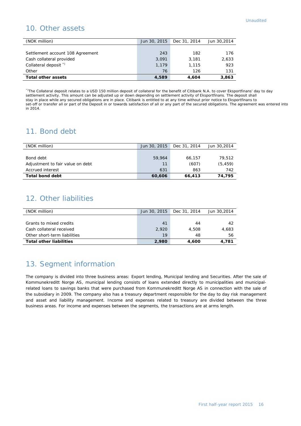## 10. Other assets

| (NOK million)                    | Jun 30, 2015 | Dec 31, 2014 | Jun 30,2014 |
|----------------------------------|--------------|--------------|-------------|
|                                  |              |              |             |
| Settlement account 108 Agreement | 243          | 182          | 176         |
| Cash collateral provided         | 3.091        | 3,181        | 2,633       |
| Collateral deposit <sup>*</sup>  | 1.179        | 1.115        | 923         |
| Other                            | 76           | 126          | 131         |
| <b>Total other assets</b>        | 4,589        | 4,604        | 3,863       |

\*)The Collateral deposit relates to a USD 150 million deposit of collateral for the benefit of Citibank N.A. to cover Eksportfinans' day to day settlement activity. This amount can be adjusted up or down depending on settlement activity of Eksportfinans. The deposit shall stay in place while any secured obligations are in place. Citibank is entitled to at any time without prior notice to Eksportfinans to set-off or transfer all or part of the Deposit in or towards satisfaction of all or any part of the secured obligations. The agreement was entered into in 2014.

## 11. Bond debt

| (NOK million)                    | Jun 30, 2015 | Dec 31, 2014 | Jun 30,2014 |
|----------------------------------|--------------|--------------|-------------|
|                                  |              |              |             |
| Bond debt                        | 59,964       | 66.157       | 79,512      |
| Adjustment to fair value on debt | 11           | (607)        | (5, 459)    |
| Accrued interest                 | 631          | 863          | 742         |
| <b>Total bond debt</b>           | 60,606       | 66,413       | 74.795      |

## 12. Other liabilities

| (NOK million)                  | Jun 30, 2015 | Dec 31, 2014 | Jun 30,2014 |
|--------------------------------|--------------|--------------|-------------|
|                                |              |              |             |
| Grants to mixed credits        | 41           | 44           | 42          |
| Cash collateral received       | 2.920        | 4,508        | 4.683       |
| Other short-term liabilities   | 19           | 48           | 56          |
| <b>Total other liabilities</b> | 2,980        | 4.600        | 4.781       |

## 13. Segment information

The company is divided into three business areas: Export lending, Municipal lending and Securities. After the sale of Kommunekreditt Norge AS, municipal lending consists of loans extended directly to municipalities and municipalrelated loans to savings banks that were purchased from Kommunekreditt Norge AS in connection with the sale of the subsidiary in 2009. The company also has a treasury department responsible for the day to day risk management and asset and liability management. Income and expenses related to treasury are divided between the three business areas. For income and expenses between the segments, the transactions are at arms length.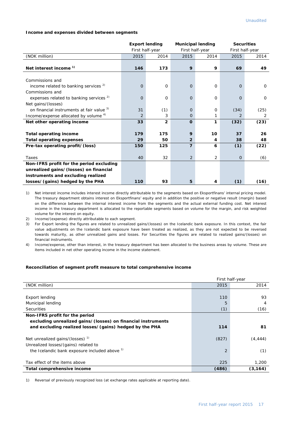#### **Income and expenses divided between segments**

|                                                    | <b>Export lending</b> |                | <b>Municipal lending</b> |          | <b>Securities</b> |          |
|----------------------------------------------------|-----------------------|----------------|--------------------------|----------|-------------------|----------|
|                                                    | First half-year       |                | First half-year          |          | First half-year   |          |
| (NOK million)                                      | 2015                  | 2014           | 2015                     | 2014     | 2015              | 2014     |
|                                                    |                       |                |                          |          |                   |          |
| Net interest income <sup>1)</sup>                  | 146                   | 173            | 9                        | 9        | 69                | 49       |
|                                                    |                       |                |                          |          |                   |          |
| Commissions and                                    |                       |                |                          |          |                   |          |
| income related to banking services $2$             | $\Omega$              | $\Omega$       | $\Omega$                 | $\Omega$ | $\Omega$          | $\Omega$ |
| Commissions and                                    |                       |                |                          |          |                   |          |
| expenses related to banking services <sup>2)</sup> | $\Omega$              | $\Omega$       | $\Omega$                 | $\Omega$ | $\Omega$          | $\Omega$ |
| Net gains/(losses)                                 |                       |                |                          |          |                   |          |
| on financial instruments at fair value 3)          | 31                    | (1)            | $\mathbf{O}$             | 0        | (34)              | (25)     |
| Income/expense allocated by volume 4)              | $\overline{2}$        | 3              | $\Omega$                 | 1        | 2                 | 2        |
| Net other operating income                         | 33                    | $\overline{2}$ | $\mathbf 0$              | 1        | (32)              | (23)     |
|                                                    |                       |                |                          |          |                   |          |
| <b>Total operating income</b>                      | 179                   | 175            | 9                        | 10       | 37                | 26       |
| <b>Total operating expenses</b>                    | 29                    | 50             | $\overline{2}$           | 4        | 38                | 48       |
| Pre-tax operating profit/(loss)                    | 150                   | 125            | 7                        | 6        | (1)               | (22)     |
|                                                    |                       |                |                          |          |                   |          |
| Taxes                                              | 40                    | 32             | 2                        | 2        | $\overline{0}$    | (6)      |
| Non-IFRS profit for the period excluding           |                       |                |                          |          |                   |          |
| unrealized gains/(losses) on financial             |                       |                |                          |          |                   |          |
| instruments and excluding realized                 |                       |                |                          |          |                   |          |
| losses/(gains) hedged by the PHA                   | 110                   | 93             | 5                        | 4        | (1)               | (16)     |

1) Net interest income includes interest income directly attributable to the segments based on Eksportfinans' internal pricing model. The treasury department obtains interest on Eksportfinans' equity and in addition the positive or negative result (margin) based on the difference between the internal interest income from the segments and the actual external funding cost. Net interest income in the treasury department is allocated to the reportable segments based on volume for the margin, and risk weighted volume for the interest on equity.

2) Income/(expense) directly attributable to each segment.

3) For Export lending the figures are related to unrealized gains/(losses) on the Icelandic bank exposure. In this context, the fair value adjustments on the Icelandic bank exposure have been treated as realized, as they are not expected to be reversed towards maturity, as other unrealized gains and losses. For Securities the figures are related to realized gains/(losses) on financial instruments.

4) Income/expense, other than interest, in the treasury department has been allocated to the business areas by volume. These are items included in net other operating income in the income statement.

#### **Reconciliation of segment profit measure to total comprehensive income**

|                                                                                       | First half-year |          |  |
|---------------------------------------------------------------------------------------|-----------------|----------|--|
| (NOK million)                                                                         | 2015            | 2014     |  |
|                                                                                       |                 |          |  |
| Export lending                                                                        | 110             | 93       |  |
| Municipal lending                                                                     | 5               | 4        |  |
| <b>Securities</b>                                                                     | (1)             | (16)     |  |
| Non-IFRS profit for the period                                                        |                 |          |  |
| excluding unrealized gains/(losses) on financial instruments                          |                 |          |  |
| and excluding realized losses/(gains) hedged by the PHA                               | 114             | 81       |  |
| Net unrealized gains/(losses) $1$                                                     | (827)           | (4, 444) |  |
| Unrealized losses/(gains) related to<br>the Icelandic bank exposure included above 1) | 2               | (1)      |  |
| Tax effect of the items above                                                         | 225             | 1,200    |  |
| Total comprehensive income                                                            | (486)           | (3, 164) |  |

1) Reversal of previously recognized loss (at exchange rates applicable at reporting date).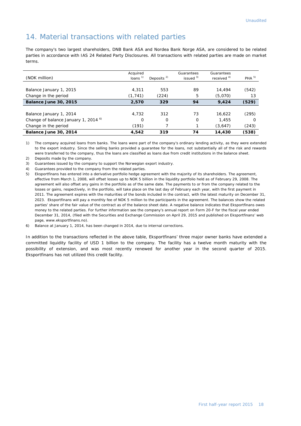## 14. Material transactions with related parties

The company's two largest shareholders, DNB Bank ASA and Nordea Bank Norge ASA, are considered to be related parties in accordance with IAS 24 Related Party Disclosures. All transactions with related parties are made on market terms.

| (NOK million)                                   | Acquired<br>loans $1$ | Deposits $2$ | Guarantees<br>issued $3)$ | Guarantees<br>received <sup>4)</sup> | PHA <sup>5</sup> |
|-------------------------------------------------|-----------------------|--------------|---------------------------|--------------------------------------|------------------|
|                                                 |                       |              |                           |                                      |                  |
| Balance January 1, 2015                         | 4,311                 | 553          | 89                        | 14,494                               | (542)            |
| Change in the period                            | (1, 741)              | (224)        | 5                         | (5,070)                              | 13               |
| Balance June 30, 2015                           | 2,570                 | 329          | 94                        | 9,424                                | (529)            |
|                                                 |                       |              |                           |                                      |                  |
| Balance January 1, 2014                         | 4,732                 | 312          | 73                        | 16,622                               | (295)            |
| Change of balance January 1, 2014 <sup>6)</sup> | O                     | O            | $\Omega$                  | 1,455                                | O                |
| Change in the period                            | (191)                 |              |                           | (3,647)                              | (243)            |
| Balance June 30, 2014                           | 4,542                 | 319          | 74                        | 14,430                               | (538)            |

1) The company acquired loans from banks. The loans were part of the company's ordinary lending activity, as they were extended to the export industry. Since the selling banks provided a guarantee for the loans, not substantially all of the risk and rewards were transferred to the company, thus the loans are classified as loans due from credit institutions in the balance sheet.

2) Deposits made by the company.

I

3) Guarantees issued by the company to support the Norwegian export industry.

4) Guarantees provided to the company from the related parties.

5) Eksportfinans has entered into a derivative portfolio hedge agreement with the majority of its shareholders. The agreement, effective from March 1, 2008, will offset losses up to NOK 5 billion in the liquidity portfolio held as of February 29, 2008. The agreement will also offset any gains in the portfolio as of the same date. The payments to or from the company related to the losses or gains, respectively, in the portfolio, will take place on the last day of February each year, with the first payment in 2011. The agreement expires with the maturities of the bonds included in the contract, with the latest maturity on December 31, 2023. Eksportfinans will pay a monthly fee of NOK 5 million to the participants in the agreement. The balances show the related parties' share of the fair value of the contract as of the balance sheet date. A negative balance indicates that Eksportfinans owes money to the related parties. For further information see the company's annual report on Form 20-F for the fiscal year ended December 31, 2014, (filed with the Securities and Exchange Commission on April 29, 2015 and published on Eksportfinans' web page, www.eksportfinans.no).

6) Balance at January 1, 2014, has been changed in 2014, due to internal corrections.

In addition to the transactions reflected in the above table, Eksportfinans' three major owner banks have extended a committed liquidity facility of USD 1 billion to the company. The facility has a twelve month maturity with the possibility of extension, and was most recently renewed for another year in the second quarter of 2015. Eksportfinans has not utilized this credit facility.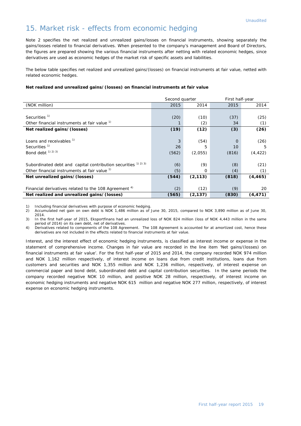## 15. Market risk - effects from economic hedging

Note 2 specifies the net realized and unrealized gains/losses on financial instruments, showing separately the gains/losses related to financial derivatives. When presented to the company's management and Board of Directors, the figures are prepared showing the various financial instruments after netting with related economic hedges, since derivatives are used as economic hedges of the market risk of specific assets and liabilities.

The below table specifies net realized and unrealized gains/(losses) on financial instruments at fair value, netted with related economic hedges.

#### **Net realized and unrealized gains/(losses) on financial instruments at fair value**

|                                                                  | Second quarter |          | First half-year |          |  |
|------------------------------------------------------------------|----------------|----------|-----------------|----------|--|
| (NOK million)                                                    | 2015           | 2014     | 2015            | 2014     |  |
|                                                                  |                |          |                 |          |  |
| Securities <sup>1)</sup>                                         | (20)           | (10)     | (37)            | (25)     |  |
| Other financial instruments at fair value <sup>1)</sup>          |                | (2)      | 34              | (1)      |  |
| Net realized gains/(losses)                                      | (19)           | (12)     | (3)             | (26)     |  |
|                                                                  |                |          |                 |          |  |
| Loans and receivables <sup>1)</sup>                              | 3              | (54)     | $\Omega$        | (26)     |  |
| Securities <sup>1)</sup>                                         | 26             | 5        | 10              | 5        |  |
| Bond debt <sup>1)</sup> <sup>2)</sup> <sup>3)</sup>              | (562)          | (2,055)  | (816)           | (4, 422) |  |
|                                                                  |                |          |                 |          |  |
| Subordinated debt and capital contribution securities 1) 2) 3)   | (6)            | (9)      | (8)             | (21)     |  |
| Other financial instruments at fair value <sup>1)</sup>          | (5)            | $\Omega$ | (4)             | (1)      |  |
| Net unrealized gains/(losses)                                    | (544)          | (2, 113) | (818)           | (4, 465) |  |
|                                                                  |                |          |                 |          |  |
| Financial derivatives related to the 108 Agreement <sup>4)</sup> | (2)            | (12)     | (9)             | 20       |  |
| Net realized and unrealized gains/(losses)                       | (565)          | (2, 137) | (830)           | (4, 471) |  |

1) Including financial derivatives with purpose of economic hedging.

2) Accumulated net gain on own debt is NOK 1,486 million as of June 30, 2015, compared to NOK 3,890 million as of June 30, 2014.

3) In the first half-year of 2015, Eksportfinans had an unrealized loss of NOK 824 million (loss of NOK 4,443 million in the same period of 2014) on its own debt, net of derivatives.

4) Derivatives related to components of the 108 Agreement. The 108 Agreement is accounted for at amortized cost, hence these derivatives are not included in the effects related to financial instruments at fair value.

Interest, and the interest effect of economic hedging instruments, is classified as interest income or expense in the statement of comprehensive income. Changes in fair value are recorded in the line item 'Net gains/(losses) on financial instruments at fair value'. For the first half-year of 2015 and 2014, the company recorded NOK 974 million and NOK 1,162 million respectively, of interest income on loans due from credit institutions, loans due from customers and securities and NOK 1,355 million and NOK 1,236 million, respectively, of interest expense on commercial paper and bond debt, subordinated debt and capital contribution securities. In the same periods the company recorded negative NOK 10 million, and positive NOK 28 million, respectively, of interest income on economic hedging instruments and negative NOK 615 million and negative NOK 277 million, respectively, of interest expense on economic hedging instruments.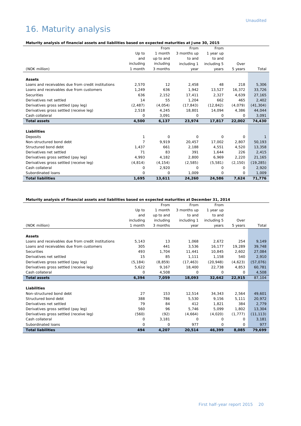# 16. Maturity analysis

## **Maturity analysis of financial assets and liabilities based on expected maturities at June 30, 2015**

|                                                    |                | From      | From        | From        |          |           |
|----------------------------------------------------|----------------|-----------|-------------|-------------|----------|-----------|
|                                                    | Up to          | 1 month   | 3 months up | 1 year up   |          |           |
|                                                    | and            | up to and | to and      | to and      |          |           |
|                                                    | including      | including | including 1 | including 5 | Over     |           |
| (NOK million)                                      | 1 month        | 3 months  | year        | years       | 5 years  | Total     |
|                                                    |                |           |             |             |          |           |
| <b>Assets</b>                                      |                |           |             |             |          |           |
| Loans and receivables due from credit institutions | 2,570          | 12        | 2,458       | 48          | 218      | 5,306     |
| Loans and receivables due from customers           | 1,249          | 636       | 1,942       | 13,527      | 16,372   | 33,726    |
| <b>Securities</b>                                  | 636            | 2,152     | 17,411      | 2.327       | 4.639    | 27,165    |
| Derivatives net settled                            | 14             | 55        | 1,204       | 662         | 465      | 2,402     |
| Derivatives gross settled (pay leg)                | (2, 487)       | (4,054)   | (17, 843)   | (12, 842)   | (4,079)  | (41, 304) |
| Derivatives gross settled (receive leg)            | 2,518          | 4,245     | 18,801      | 14,094      | 4,386    | 44,044    |
| Cash collateral                                    | $\Omega$       | 3,091     | 0           | 0           | $\Omega$ | 3,091     |
| <b>Total assets</b>                                | 4,500          | 6,137     | 23,974      | 17,817      | 22,002   | 74,430    |
|                                                    |                |           |             |             |          |           |
| Liabilities                                        |                |           |             |             |          |           |
| Deposits                                           |                | 0         | 0           | 0           | 0        |           |
| Non-structured bond debt                           | $\overline{7}$ | 9,919     | 20,457      | 17,002      | 2,807    | 50,193    |
| Structured bond debt                               | 1,437          | 661       | 2,188       | 4,551       | 4,520    | 13,358    |
| Derivatives net settled                            | 71             | 83        | 391         | 1,644       | 226      | 2,415     |
| Derivatives gross settled (pay leg)                | 4,993          | 4,182     | 2,800       | 6,969       | 2,220    | 21,165    |
| Derivatives gross settled (receive leg)            | (4, 814)       | (4, 154)  | (2, 585)    | (5, 581)    | (2, 150) | (19, 285) |
| Cash collateral                                    | 0              | 2,920     | 0           | 0           | 0        | 2,920     |
| Subordinated loans                                 | 0              | 0         | 1.009       | 0           | $\Omega$ | 1,009     |
| <b>Total liabilities</b>                           | 1,695          | 13,611    | 24,260      | 24,586      | 7,624    | 71,776    |

## **Maturity analysis of financial assets and liabilities based on expected maturities at December 31, 2014**

|                                                    |           | From      | From        | From        |          |           |
|----------------------------------------------------|-----------|-----------|-------------|-------------|----------|-----------|
|                                                    | Up to     | 1 month   | 3 months up | 1 year up   |          |           |
|                                                    | and       | up to and | to and      | to and      |          |           |
|                                                    | including | including | including 1 | including 5 | Over     |           |
| (NOK million)                                      | 1 month   | 3 months  | year        | years       | 5 years  | Total     |
| <b>Assets</b>                                      |           |           |             |             |          |           |
|                                                    |           |           |             |             |          |           |
| Loans and receivables due from credit institutions | 5,143     | 13        | 1,068       | 2.672       | 254      | 9,149     |
| Loans and receivables due from customers           | 305       | 441       | 3,536       | 16,177      | 19.289   | 39,748    |
| Securities                                         | 493       | 1,704     | 11,441      | 10,845      | 2.602    | 27,084    |
| Derivatives net settled                            | 15        | 85        | 1,111       | 1,158       | 540      | 2,910     |
| Derivatives gross settled (pay leg)                | (5, 184)  | (8, 859)  | (17, 463)   | (20, 948)   | (4,623)  | (57,076)  |
| Derivatives gross settled (receive leg)            | 5,622     | 9,167     | 18,400      | 22,738      | 4,853    | 60,781    |
| Cash collateral                                    | 0         | 4,508     | 0           | 0           | $\Omega$ | 4,508     |
| <b>Total assets</b>                                | 6,394     | 7,059     | 18,093      | 32,642      | 22,915   | 87,104    |
| <b>Liabilities</b>                                 |           |           |             |             |          |           |
| Non-structured bond debt                           | 27        | 153       | 12,514      | 34,343      | 2,564    | 49,601    |
| Structured bond debt                               | 388       | 786       | 5.530       | 9.156       | 5.111    | 20,972    |
| Derivatives net settled                            | 79        | 84        | 412         | 1,821       | 384      | 2,779     |
| Derivatives gross settled (pay leg)                | 560       | 96        | 5.746       | 5,099       | 1.802    | 13,304    |
| Derivatives gross settled (receive leg)            | (560)     | (92)      | (4,664)     | (4,020)     | (1, 777) | (11, 113) |
| Cash collateral                                    | $\Omega$  | 3,181     | $\Omega$    | $\Omega$    | $\Omega$ | 3,181     |
| Subordinated loans                                 | 0         | 0         | 977         | 0           | $\Omega$ | 977       |
| <b>Total liabilities</b>                           | 494       | 4,207     | 20,514      | 46,399      | 8,085    | 79,699    |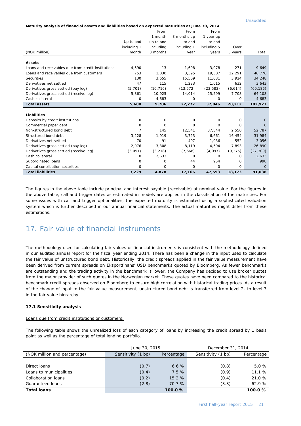|                                                                                                     |                |           |             |             |          | <b>Unaudited</b> |
|-----------------------------------------------------------------------------------------------------|----------------|-----------|-------------|-------------|----------|------------------|
| Maturity analysis of financial assets and liabilities based on expected maturities at June 30, 2014 |                |           |             |             |          |                  |
|                                                                                                     |                | From      | From        | From        |          |                  |
|                                                                                                     |                | 1 month   | 3 months up | 1 year up   |          |                  |
|                                                                                                     | Up to and      | up to and | to and      | to and      |          |                  |
|                                                                                                     | including 1    | including | including 1 | including 5 | Over     |                  |
| (NOK million)                                                                                       | month          | 3 months  | year        | years       | 5 years  | Total            |
|                                                                                                     |                |           |             |             |          |                  |
| <b>Assets</b>                                                                                       |                |           |             |             |          |                  |
| Loans and receivables due from credit institutions                                                  | 4,590          | 13        | 1,698       | 3.078       | 271      | 9,649            |
| Loans and receivables due from customers                                                            | 753            | 1.030     | 3,395       | 19,307      | 22,291   | 46,776           |
| <b>Securities</b>                                                                                   | 130            | 3.655     | 15,509      | 11.031      | 3,924    | 34,248           |
| Derivatives net settled                                                                             | 47             | 115       | 1,233       | 1,615       | 632      | 3,643            |
| Derivatives gross settled (pay leg)                                                                 | (5,701)        | (10, 716) | (13, 572)   | (23, 583)   | (6,614)  | (60, 186)        |
| Derivatives gross settled (receive leg)                                                             | 5,861          | 10.925    | 14,014      | 25,599      | 7,708    | 64,108           |
| Cash collateral                                                                                     | $\Omega$       | 4,683     | 0           | $\Omega$    | $\Omega$ | 4,683            |
| <b>Total assets</b>                                                                                 | 5,680          | 9,706     | 22,277      | 37,046      | 28,212   | 102,921          |
|                                                                                                     |                |           |             |             |          |                  |
| Liabilities                                                                                         |                |           |             |             |          |                  |
| Deposits by credit institutions                                                                     | 0              | 0         | 0           | 0           | 0        | 0                |
| Commercial paper debt                                                                               | 0              | $\Omega$  | 0           | $\Omega$    | $\Omega$ | O                |
| Non-structured bond debt                                                                            | $\overline{7}$ | 145       | 12,541      | 37,544      | 2,550    | 52,787           |
| Structured bond debt                                                                                | 3,228          | 1.919     | 3.723       | 6,661       | 16,454   | 31,984           |
| Derivatives net settled                                                                             | 70             | 91        | 407         | 1,936       | 552      | 3,056            |
| Derivatives gross settled (pay leg)                                                                 | 2.976          | 3.308     | 8,119       | 4,594       | 7,893    | 26,890           |
| Derivatives gross settled (receive leg)                                                             | (3,051)        | (3, 218)  | (7,668)     | (4,097)     | (9, 275) | (27, 309)        |

The figures in the above table include principal and interest payable (receivable) at nominal value. For the figures in the above table, call and trigger dates as estimated in models are applied in the classification of the maturities. For some issues with call and trigger optionalities, the expected maturity is estimated using a sophisticated valuation system which is further described in our annual financial statements. The actual maturities might differ from these estimations.

Cash collateral 0 2,633 0 0 0 2,633 Subordinated loans 0 0 44 954 0 998 Capital contribution securities  $\begin{array}{cccc} 0 & 0 & 0 & 0 & 0 \end{array}$ **Total liabilities 3,229 4,878 17,166 47,593 18,173 91,038** 

## 17. Fair value of financial instruments

The methodology used for calculating fair values of financial instruments is consistent with the methodology defined in our audited annual report for the fiscal year ending 2014. There has been a change in the input used to calculate the fair value of unstructured bond debt. Historically, the credit spreads applied in the fair value measurement have been derived from current spreads on Eksportfinans' USD benchmarks quoted by Bloomberg. As fewer benchmarks are outstanding and the trading activity in the benchmark is lower, the Company has decided to use broker quotes from the major provider of such quotes in the Norwegian market. These quotes have been compared to the historical benchmark credit spreads observed on Bloomberg to ensure high correlation with historical trading prices. As a result of the change of input to the fair value measurement, unstructured bond debt is transferred from level 2- to level 3 in the fair value hierarchy.

#### **17.1 Sensitivity analysis**

#### Loans due from credit institutions or customers:

The following table shows the unrealized loss of each category of loans by increasing the credit spread by 1 basis point as well as the percentage of total lending portfolio.

|                              | June 30, 2015      |            | December 31, 2014  |            |
|------------------------------|--------------------|------------|--------------------|------------|
| (NOK million and percentage) | Sensitivity (1 bp) | Percentage | Sensitivity (1 bp) | Percentage |
|                              |                    |            |                    |            |
| Direct loans                 | (0.7)              | 6.6%       | (0.8)              | 5.0%       |
| Loans to municipalities      | (0.4)              | 7.5%       | (0.9)              | 11.1%      |
| Collaboration loans          | (0.2)              | 15.2%      | (0.4)              | 21.0 %     |
| Guaranteed loans             | (2.8)              | 70.7 %     | (3.3)              | 62.9%      |
| <b>Total loans</b>           |                    | 100.0%     |                    | 100.0%     |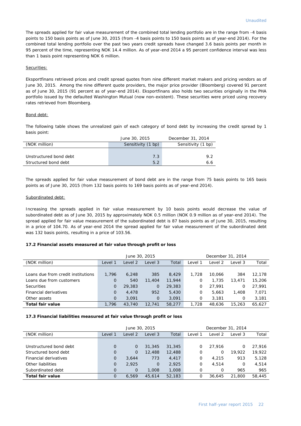The spreads applied for fair value measurement of the combined total lending portfolio are in the range from -4 basis points to 150 basis points as of June 30, 2015 (from -4 basis points to 150 basis points as of year-end 2014). For the combined total lending portfolio over the past two years credit spreads have changed 3.6 basis points per month in 95 percent of the time, representing NOK 14.4 million. As of year-end 2014 a 95 percent confidence interval was less than 1 basis point representing NOK 6 million.

#### Securities:

Eksportfinans retrieved prices and credit spread quotes from nine different market makers and pricing vendors as of June 30, 2015. Among the nine different quote providers, the major price provider (Bloomberg) covered 91 percent as of June 30, 2015 (91 percent as of year-end 2014). Eksportfinans also holds two securities originally in the PHA portfolio issued by the defaulted Washington Mutual (now non-existent). These securities were priced using recovery rates retrieved from Bloomberg.

#### Bond debt:

The following table shows the unrealized gain of each category of bond debt by increasing the credit spread by 1 basis point:

|                        | June 30, 2015      | December 31, 2014  |
|------------------------|--------------------|--------------------|
| (NOK million)          | Sensitivity (1 bp) | Sensitivity (1 bp) |
|                        |                    |                    |
| Unstructured bond debt | 7.3                | 9.2                |
| Structured bond debt   | 5.2                | 6.6                |

The spreads applied for fair value measurement of bond debt are in the range from 75 basis points to 165 basis points as of June 30, 2015 (from 132 basis points to 169 basis points as of year-end 2014).

#### Subordinated debt:

Increasing the spreads applied in fair value measurement by 10 basis points would decrease the value of subordinated debt as of June 30, 2015 by approximately NOK 0.5 million (NOK 0.9 million as of year-end 2014). The spread applied for fair value measurement of the subordinated debt is 87 basis points as of June 30, 2015, resulting in a price of 104.70. As of year-end 2014 the spread applied for fair value measurement of the subordinated debt was 132 basis points, resulting in a price of 103.56.

#### **17.2 Financial assets measured at fair value through profit or loss**

|                                    | June 30, 2015 |         |             |        | December 31, 2014 |         |         |        |
|------------------------------------|---------------|---------|-------------|--------|-------------------|---------|---------|--------|
| (NOK million)                      | Level 1       | Level 2 | Level 3     | Total  | Level 1           | Level 2 | Level 3 | Total  |
|                                    |               |         |             |        |                   |         |         |        |
| Loans due from credit institutions | 1.796         | 6,248   | 385         | 8.429  | 1,728             | 10.066  | 384     | 12,178 |
| Loans due from customers           | $\Omega$      | 540     | 11,404      | 11,944 | O                 | 1,735   | 13,471  | 15,206 |
| <b>Securities</b>                  | $\Omega$      | 29,383  | $\mathbf 0$ | 29,383 | 0                 | 27.991  | 0       | 27,991 |
| Financial derivatives              | $\Omega$      | 4,478   | 952         | 5,430  | 0                 | 5.663   | 1,408   | 7,071  |
| Other assets                       | $\mathbf{O}$  | 3.091   | $\mathbf 0$ | 3,091  | 0                 | 3.181   | 0       | 3,181  |
| Total fair value                   | 1.796         | 43,740  | 12,741      | 58,277 | 1,728             | 48,636  | 15,263  | 65.627 |

#### **17.3 Financial liabilities measured at fair value through profit or loss**

|                        | June 30, 2015 |              |             |        | December 31, 2014 |         |         |        |
|------------------------|---------------|--------------|-------------|--------|-------------------|---------|---------|--------|
| (NOK million)          | Level 1       | Level 2      | Level 3     | Total  | Level 1           | Level 2 | Level 3 | Total  |
|                        |               |              |             |        |                   |         |         |        |
| Unstructured bond debt | $\Omega$      | 0            | 31,345      | 31,345 | 0                 | 27.916  | Ο       | 27.916 |
| Structured bond debt   | $\Omega$      | $\Omega$     | 12,488      | 12,488 | 0                 | 0       | 19.922  | 19,922 |
| Financial derivatives  | $\Omega$      | 3.644        | 773         | 4,417  | Ο                 | 4.215   | 913     | 5,128  |
| Other liabilities      | $\Omega$      | 2.925        | $\mathbf 0$ | 2,925  | 0                 | 4.514   | 0       | 4.514  |
| Subordinated debt      | $\Omega$      | $\mathbf{O}$ | 1,008       | 1,008  | O                 | O       | 965     | 965    |
| Total fair value       | $\Omega$      | 6.569        | 45,614      | 52,183 | Ο                 | 36.645  | 21,800  | 58,445 |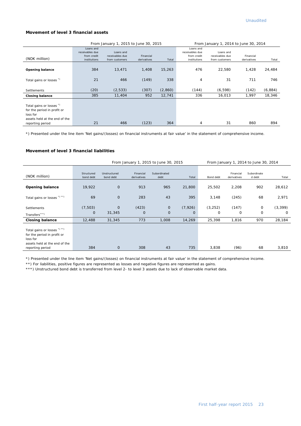#### **Movement of level 3 financial assets**

|                                                                                                                          |                                                             | From January 1, 2015 to June 30, 2015          | From January 1, 2014 to June 30, 2014 |         |                                                             |                                                |                          |         |
|--------------------------------------------------------------------------------------------------------------------------|-------------------------------------------------------------|------------------------------------------------|---------------------------------------|---------|-------------------------------------------------------------|------------------------------------------------|--------------------------|---------|
| (NOK million)                                                                                                            | Loans and<br>receivables due<br>from credit<br>institutions | Loans and<br>receivables due<br>from customers | Financial<br>derivatives              | Total   | Loans and<br>receivables due<br>from credit<br>institutions | Loans and<br>receivables due<br>from customers | Financial<br>derivatives | Total   |
| <b>Opening balance</b>                                                                                                   | 384                                                         | 13,471                                         | 1,408                                 | 15,263  | 476                                                         | 22,580                                         | 1,428                    | 24,484  |
| Total gains or losses *)                                                                                                 | 21                                                          | 466                                            | (149)                                 | 338     | 4                                                           | 31                                             | 711                      | 746     |
| Settlements                                                                                                              | (20)                                                        | (2, 533)                                       | (307)                                 | (2,860) | (144)                                                       | (6, 598)                                       | (142)                    | (6,884) |
| <b>Closing balance</b>                                                                                                   | 385                                                         | 11,404                                         | 952                                   | 12,741  | 336                                                         | 16,013                                         | 1,997                    | 18,346  |
| Total gains or losses *)<br>for the period in profit or<br>loss for<br>assets held at the end of the<br>reporting period | 21                                                          | 466                                            | (123)                                 | 364     | 4                                                           | 31                                             | 860                      | 894     |

\*) Presented under the line item 'Net gains/(losses) on financial instruments at fair value' in the statement of comprehensive income.

#### **Movement of level 3 financial liabilities**

|                                                                                                                              | From January 1, 2015 to June 30, 2015 |                           |                          |                            |                      |               |                          | From January 1, 2014 to June 30, 2014 |               |
|------------------------------------------------------------------------------------------------------------------------------|---------------------------------------|---------------------------|--------------------------|----------------------------|----------------------|---------------|--------------------------|---------------------------------------|---------------|
| (NOK million)                                                                                                                | Structured<br>bond debt               | Unstructured<br>bond debt | Financial<br>derivatives | Subordinated<br>debt       | Total                | Bond debt     | Financial<br>derivatives | Subordinate<br>d debt                 | Total         |
| <b>Opening balance</b>                                                                                                       | 19,922                                | $\mathbf{O}$              | 913                      | 965                        | 21,800               | 25,502        | 2,208                    | 902                                   | 28,612        |
| Total gains or losses *) **)                                                                                                 | 69                                    | $\mathbf{O}$              | 283                      | 43                         | 395                  | 3,148         | (245)                    | 68                                    | 2,971         |
| <b>Settlements</b><br>Transfers***)                                                                                          | (7, 503)<br>0                         | $\mathbf{O}$<br>31,345    | (423)<br>$\mathbf 0$     | $\mathbf 0$<br>$\mathbf 0$ | (7, 926)<br>$\Omega$ | (3, 252)<br>0 | (147)<br>$\circ$         | 0<br>$\mathbf 0$                      | (3, 399)<br>0 |
| <b>Closing balance</b>                                                                                                       | 12,488                                | 31,345                    | 773                      | 1,008                      | 14,269               | 25,398        | 1,816                    | 970                                   | 28,184        |
| Total gains or losses *) **)<br>for the period in profit or<br>loss for<br>assets held at the end of the<br>reporting period | 384                                   | $\mathsf{O}\xspace$       | 308                      | 43                         | 735                  | 3,838         | (96)                     | 68                                    | 3,810         |

\*) Presented under the line item 'Net gains/(losses) on financial instruments at fair value' in the statement of comprehensive income.

\*\*) For liabilities, positive figures are represented as losses and negative figures are represented as gains.

\*\*\*) Unstructured bond debt is transferred from level 2- to level 3 assets due to lack of observable market data.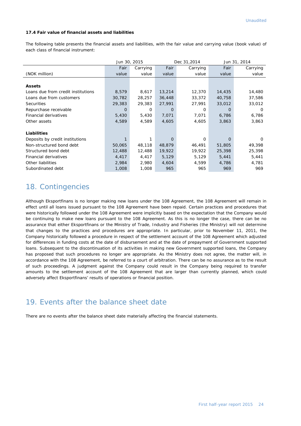#### **17.4 Fair value of financial assets and liabilities**

The following table presents the financial assets and liabilities, with the fair value and carrying value (book value) of each class of financial instrument:

|                                    | Jun 30, 2015 |          |        | Dec 31,2014 | Jun 31, 2014 |          |  |
|------------------------------------|--------------|----------|--------|-------------|--------------|----------|--|
|                                    | Fair         | Carrying | Fair   | Carrying    | Fair         | Carrying |  |
| (NOK million)                      | value        | value    | value  | value       | value        | value    |  |
|                                    |              |          |        |             |              |          |  |
| <b>Assets</b>                      |              |          |        |             |              |          |  |
| Loans due from credit institutions | 8,579        | 8,617    | 13,214 | 12,370      | 14,435       | 14,480   |  |
| Loans due from customers           | 30,782       | 28,257   | 36,448 | 33,372      | 40,758       | 37,586   |  |
| <b>Securities</b>                  | 29,383       | 29,383   | 27,991 | 27,991      | 33,012       | 33,012   |  |
| Repurchase receivable              | O            | 0        | O      | 0           | O            | $\Omega$ |  |
| Financial derivatives              | 5,430        | 5,430    | 7,071  | 7,071       | 6,786        | 6,786    |  |
| Other assets                       | 4,589        | 4,589    | 4,605  | 4,605       | 3,863        | 3,863    |  |
|                                    |              |          |        |             |              |          |  |
| <b>Liabilities</b>                 |              |          |        |             |              |          |  |
| Deposits by credit institutions    |              |          | O      | 0           | O            | 0        |  |
| Non-structured bond debt           | 50,065       | 48,118   | 48,879 | 46,491      | 51,805       | 49,398   |  |
| Structured bond debt               | 12,488       | 12,488   | 19,922 | 19,922      | 25,398       | 25,398   |  |
| Financial derivatives              | 4,417        | 4,417    | 5,129  | 5,129       | 5,441        | 5,441    |  |
| Other liabilities                  | 2,984        | 2,980    | 4,604  | 4,599       | 4,786        | 4,781    |  |
| Subordinated debt                  | 1,008        | 1,008    | 965    | 965         | 969          | 969      |  |

## 18. Contingencies

Although Eksportfinans is no longer making new loans under the 108 Agreement, the 108 Agreement will remain in effect until all loans issued pursuant to the 108 Agreement have been repaid. Certain practices and procedures that were historically followed under the 108 Agreement were implicitly based on the expectation that the Company would be continuing to make new loans pursuant to the 108 Agreement. As this is no longer the case, there can be no assurance that either Eksportfinans or the Ministry of Trade, Industry and Fisheries (the Ministry) will not determine that changes to the practices and procedures are appropriate. In particular, prior to November 11, 2011, the Company historically followed a procedure in respect of the settlement account of the 108 Agreement which adjusted for differences in funding costs at the date of disbursement and at the date of prepayment of Government supported loans. Subsequent to the discontinuation of its activities in making new Government supported loans, the Company has proposed that such procedures no longer are appropriate. As the Ministry does not agree, the matter will, in accordance with the 108 Agreement, be referred to a court of arbitration. There can be no assurance as to the result of such proceedings. A judgment against the Company could result in the Company being required to transfer amounts to the settlement account of the 108 Agreement that are larger than currently planned, which could adversely affect Eksportfinans' results of operations or financial position.

## 19. Events after the balance sheet date

There are no events after the balance sheet date materially affecting the financial statements.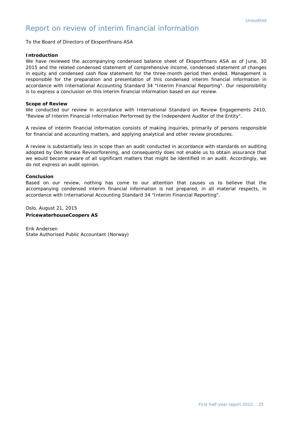## Report on review of interim financial information

To the Board of Directors of Eksportfinans ASA

#### *Introduction*

*We have reviewed the accompanying condensed balance sheet of Eksportfinans ASA as of June, 30 2015 and the related condensed statement of comprehensive income, condensed statement of changes in equity and condensed cash flow statement for the three-month period then ended. Management is*  responsible for the preparation and presentation of this condensed interim financial information in *accordance with International Accounting Standard 34 "Interim Financial Reporting". Our responsibility is to express a conclusion on this interim financial information based on our review.*

#### *Scope of Review*

*We conducted our review in accordance with International Standard on Review Engagements 2410, "Review of Interim Financial Information Performed by the Independent Auditor of the Entity".* 

*A review of interim financial information consists of making inquiries, primarily of persons responsible for financial and accounting matters, and applying analytical and other review procedures.* 

*A review is substantially less in scope than an audit conducted in accordance with standards on auditing adopted by Den Norske Revisorforening, and consequently does not enable us to obtain assurance that we would become aware of all significant matters that might be identified in an audit. Accordingly, we do not express an audit opinion.*

#### *Conclusion*

Based on our review, nothing has come to our attention that causes us to believe that the *accompanying condensed interim financial information is not prepared, in all material respects, in accordance with International Accounting Standard 34 "Interim Financial Reporting".*

Oslo, August 21, 2015 **PricewaterhouseCoopers AS**

Erik Andersen State Authorised Public Accountant (Norway)